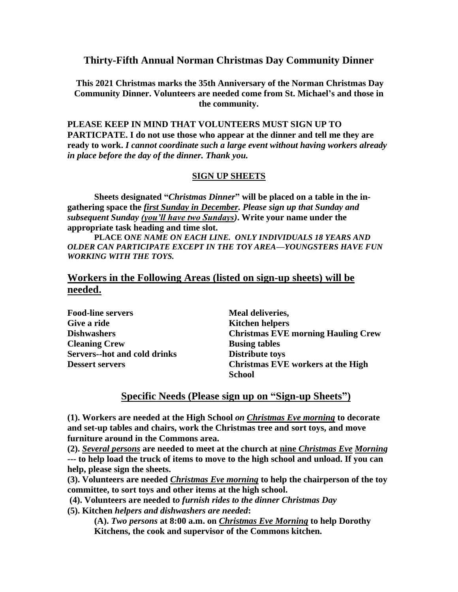**Thirty-Fifth Annual Norman Christmas Day Community Dinner**

**This 2021 Christmas marks the 35th Anniversary of the Norman Christmas Day Community Dinner. Volunteers are needed come from St. Michael's and those in the community.** 

**PLEASE KEEP IN MIND THAT VOLUNTEERS MUST SIGN UP TO PARTICPATE. I do not use those who appear at the dinner and tell me they are ready to work.** *I cannot coordinate such a large event without having workers already in place before the day of the dinner. Thank you.*

## **SIGN UP SHEETS**

**Sheets designated "***Christmas Dinner***" will be placed on a table in the ingathering space the** *first Sunday in December. Please sign up that Sunday and subsequent Sunday (you'll have two Sundays)***. Write your name under the appropriate task heading and time slot.** 

**PLACE O***NE NAME ON EACH LINE. ONLY INDIVIDUALS 18 YEARS AND OLDER CAN PARTICIPATE EXCEPT IN THE TOY AREA—YOUNGSTERS HAVE FUN WORKING WITH THE TOYS.*

## **Workers in the Following Areas (listed on sign-up sheets) will be needed.**

**Food-line servers Meal deliveries, Give a ride Kitchen helpers Cleaning Crew Busing tables Servers--hot and cold drinks Distribute toys**

**Dishwashers Christmas EVE morning Hauling Crew Dessert servers Christmas EVE workers at the High School**

## **Specific Needs (Please sign up on "Sign-up Sheets")**

**(1). Workers are needed at the High School** *on Christmas Eve morning* **to decorate and set-up tables and chairs, work the Christmas tree and sort toys, and move furniture around in the Commons area.** 

**(2).** *Several persons* **are needed to meet at the church at nine** *Christmas Eve Morning* **--- to help load the truck of items to move to the high school and unload. If you can help, please sign the sheets.**

**(3). Volunteers are needed** *Christmas Eve morning* **to help the chairperson of the toy committee, to sort toys and other items at the high school.** 

**(4). Volunteers are needed t***o furnish rides to the dinner Christmas Day*

**(5). Kitchen** *helpers and dishwashers are needed***:** 

**(A).** *Two persons* **at 8:00 a.m. on** *Christmas Eve Morning* **to help Dorothy Kitchens, the cook and supervisor of the Commons kitchen.**